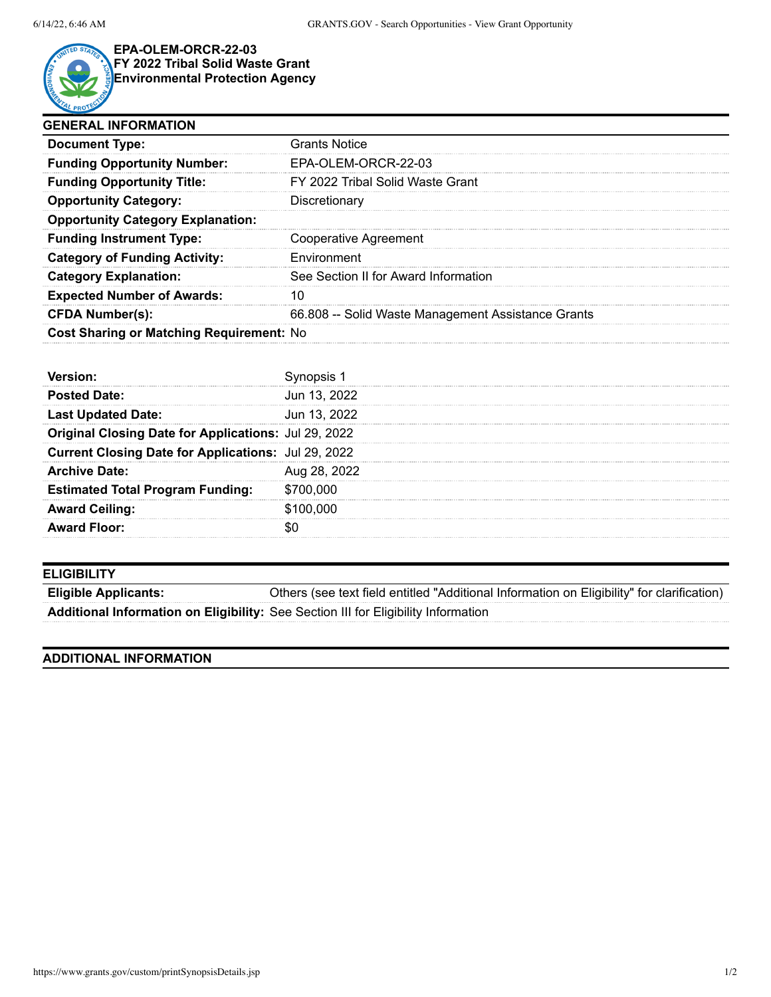

## **EPA-OLEM-ORCR-22-03 FY 2022 Tribal Solid Waste Grant Environmental Protection Agency**

| <b>GENERAL INFORMATION</b>               |                                                    |  |
|------------------------------------------|----------------------------------------------------|--|
| <b>Document Type:</b>                    | Grants Notice                                      |  |
| <b>Funding Opportunity Number:</b>       | EPA-OLEM-ORCR-22-03                                |  |
| <b>Funding Opportunity Title:</b>        | FY 2022 Tribal Solid Waste Grant                   |  |
| <b>Opportunity Category:</b>             | Discretionary                                      |  |
| <b>Opportunity Category Explanation:</b> |                                                    |  |
| <b>Funding Instrument Type:</b>          | Cooperative Agreement                              |  |
| <b>Category of Funding Activity:</b>     | Environment                                        |  |
| <b>Category Explanation:</b>             | See Section II for Award Information               |  |
| <b>Expected Number of Awards:</b>        |                                                    |  |
| <b>CFDA Number(s):</b>                   | 66.808 -- Solid Waste Management Assistance Grants |  |
| Cost Sharing or Matching Requirement: No |                                                    |  |

| <b>Posted Date:</b>                                  | Jun 13, 2022 |
|------------------------------------------------------|--------------|
| <b>Last Updated Date:</b>                            | Jun 13, 2022 |
| Original Closing Date for Applications: Jul 29, 2022 |              |
| Current Closing Date for Applications: Jul 29, 2022  |              |
| <b>Archive Date:</b>                                 | Aug 28, 2022 |
| <b>Estimated Total Program Funding:</b>              | \$700,000    |
| <b>Award Ceiling:</b>                                | \$100,000    |
| <b>Award Floor:</b>                                  |              |

## **ELIGIBILITY**

**Eligible Applicants:** Others (see text field entitled "Additional Information on Eligibility" for clarification) **Additional Information on Eligibility:** See Section III for Eligibility Information

## **ADDITIONAL INFORMATION**